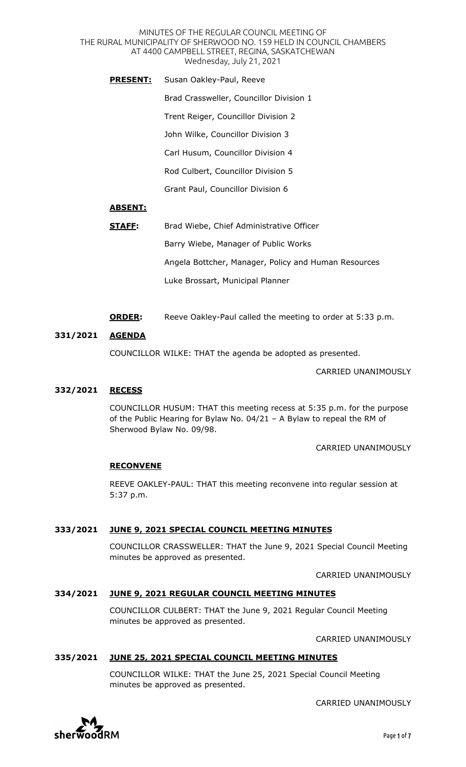MINUTES OF THE REGULAR COUNCIL MEETING OF THE RURAL MUNICIPALITY OF SHERWOOD NO. 159 HELD IN COUNCIL CHAMBERS AT 4400 CAMPBELL STREET, REGINA, SASKATCHEWAN Wednesday, July 21, 2021

**PRESENT:** Susan Oakley-Paul, Reeve Brad Crassweller, Councillor Division 1 Trent Reiger, Councillor Division 2 John Wilke, Councillor Division 3 Carl Husum, Councillor Division 4 Rod Culbert, Councillor Division 5 Grant Paul, Councillor Division 6

## **ABSENT:**

- **STAFF:** Brad Wiebe, Chief Administrative Officer Barry Wiebe, Manager of Public Works Angela Bottcher, Manager, Policy and Human Resources Luke Brossart, Municipal Planner
- **ORDER:** Reeve Oakley-Paul called the meeting to order at 5:33 p.m.

### **331/2021 AGENDA**

COUNCILLOR WILKE: THAT the agenda be adopted as presented.

CARRIED UNANIMOUSLY

### **332/2021 RECESS**

COUNCILLOR HUSUM: THAT this meeting recess at 5:35 p.m. for the purpose of the Public Hearing for Bylaw No. 04/21 – A Bylaw to repeal the RM of Sherwood Bylaw No. 09/98.

CARRIED UNANIMOUSLY

### **RECONVENE**

REEVE OAKLEY-PAUL: THAT this meeting reconvene into regular session at 5:37 p.m.

## **333/2021 JUNE 9, 2021 SPECIAL COUNCIL MEETING MINUTES**

COUNCILLOR CRASSWELLER: THAT the June 9, 2021 Special Council Meeting minutes be approved as presented.

CARRIED UNANIMOUSLY

### **334/2021 JUNE 9, 2021 REGULAR COUNCIL MEETING MINUTES**

COUNCILLOR CULBERT: THAT the June 9, 2021 Regular Council Meeting minutes be approved as presented.

CARRIED UNANIMOUSLY

### **335/2021 JUNE 25, 2021 SPECIAL COUNCIL MEETING MINUTES**

COUNCILLOR WILKE: THAT the June 25, 2021 Special Council Meeting minutes be approved as presented.

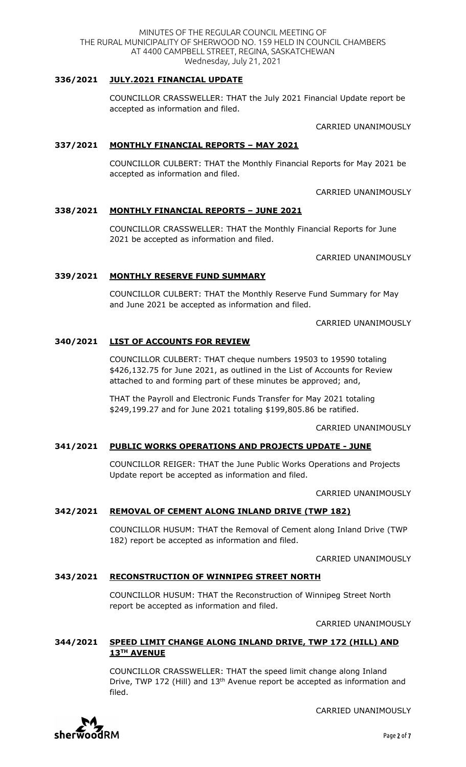CARRIED UNANIMOUSLY

# **338/2021 MONTHLY FINANCIAL REPORTS – JUNE 2021**

**337/2021 MONTHLY FINANCIAL REPORTS – MAY 2021**

accepted as information and filed.

COUNCILLOR CRASSWELLER: THAT the Monthly Financial Reports for June 2021 be accepted as information and filed.

CARRIED UNANIMOUSLY

# **339/2021 MONTHLY RESERVE FUND SUMMARY**

COUNCILLOR CULBERT: THAT the Monthly Reserve Fund Summary for May and June 2021 be accepted as information and filed.

CARRIED UNANIMOUSLY

# **340/2021 LIST OF ACCOUNTS FOR REVIEW**

COUNCILLOR CULBERT: THAT cheque numbers 19503 to 19590 totaling \$426,132.75 for June 2021, as outlined in the List of Accounts for Review attached to and forming part of these minutes be approved; and,

THAT the Payroll and Electronic Funds Transfer for May 2021 totaling \$249,199.27 and for June 2021 totaling \$199,805.86 be ratified.

## CARRIED UNANIMOUSLY

# **341/2021 PUBLIC WORKS OPERATIONS AND PROJECTS UPDATE - JUNE**

COUNCILLOR REIGER: THAT the June Public Works Operations and Projects Update report be accepted as information and filed.

CARRIED UNANIMOUSLY

# **342/2021 REMOVAL OF CEMENT ALONG INLAND DRIVE (TWP 182)**

COUNCILLOR HUSUM: THAT the Removal of Cement along Inland Drive (TWP 182) report be accepted as information and filed.

CARRIED UNANIMOUSLY

## **343/2021 RECONSTRUCTION OF WINNIPEG STREET NORTH**

COUNCILLOR HUSUM: THAT the Reconstruction of Winnipeg Street North report be accepted as information and filed.

CARRIED UNANIMOUSLY

## **344/2021 SPEED LIMIT CHANGE ALONG INLAND DRIVE, TWP 172 (HILL) AND 13TH AVENUE**

COUNCILLOR CRASSWELLER: THAT the speed limit change along Inland Drive, TWP 172 (Hill) and 13<sup>th</sup> Avenue report be accepted as information and filed.





Page 2 of 7

### MINUTES OF THE REGULAR COUNCIL MEETING OF THE RURAL MUNICIPALITY OF SHERWOOD NO. 159 HELD IN COUNCIL CHAMBERS AT 4400 CAMPBELL STREET, REGINA, SASKATCHEWAN Wednesday, July 21, 2021

## **336/2021 JULY.2021 FINANCIAL UPDATE**

COUNCILLOR CRASSWELLER: THAT the July 2021 Financial Update report be accepted as information and filed.

COUNCILLOR CULBERT: THAT the Monthly Financial Reports for May 2021 be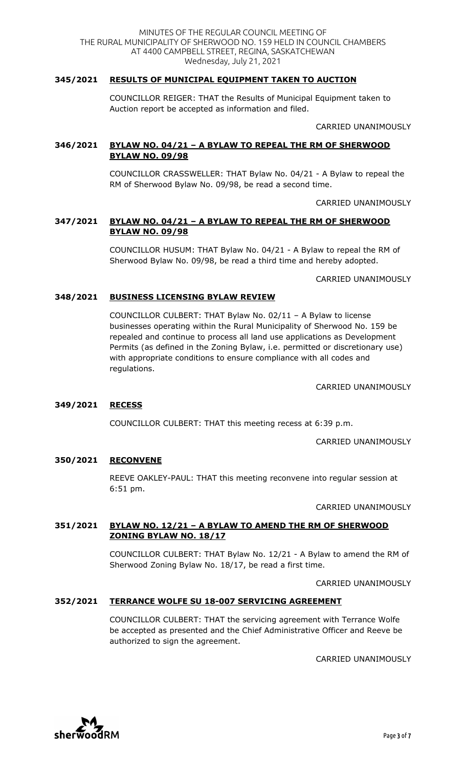## **345/2021 RESULTS OF MUNICIPAL EQUIPMENT TAKEN TO AUCTION**

COUNCILLOR REIGER: THAT the Results of Municipal Equipment taken to Auction report be accepted as information and filed.

CARRIED UNANIMOUSLY

## **346/2021 BYLAW NO. 04/21 – A BYLAW TO REPEAL THE RM OF SHERWOOD BYLAW NO. 09/98**

COUNCILLOR CRASSWELLER: THAT Bylaw No. 04/21 - A Bylaw to repeal the RM of Sherwood Bylaw No. 09/98, be read a second time.

CARRIED UNANIMOUSLY

## **347/2021 BYLAW NO. 04/21 – A BYLAW TO REPEAL THE RM OF SHERWOOD BYLAW NO. 09/98**

COUNCILLOR HUSUM: THAT Bylaw No. 04/21 - A Bylaw to repeal the RM of Sherwood Bylaw No. 09/98, be read a third time and hereby adopted.

CARRIED UNANIMOUSLY

### **348/2021 BUSINESS LICENSING BYLAW REVIEW**

COUNCILLOR CULBERT: THAT Bylaw No. 02/11 – A Bylaw to license businesses operating within the Rural Municipality of Sherwood No. 159 be repealed and continue to process all land use applications as Development Permits (as defined in the Zoning Bylaw, i.e. permitted or discretionary use) with appropriate conditions to ensure compliance with all codes and regulations.

CARRIED UNANIMOUSLY

## **349/2021 RECESS**

COUNCILLOR CULBERT: THAT this meeting recess at 6:39 p.m.

CARRIED UNANIMOUSLY

## **350/2021 RECONVENE**

REEVE OAKLEY-PAUL: THAT this meeting reconvene into regular session at 6:51 pm.

CARRIED UNANIMOUSLY

## **351/2021 BYLAW NO. 12/21 – A BYLAW TO AMEND THE RM OF SHERWOOD ZONING BYLAW NO. 18/17**

COUNCILLOR CULBERT: THAT Bylaw No. 12/21 - A Bylaw to amend the RM of Sherwood Zoning Bylaw No. 18/17, be read a first time.

CARRIED UNANIMOUSLY

#### **352/2021 TERRANCE WOLFE SU 18-007 SERVICING AGREEMENT**

COUNCILLOR CULBERT: THAT the servicing agreement with Terrance Wolfe be accepted as presented and the Chief Administrative Officer and Reeve be authorized to sign the agreement.

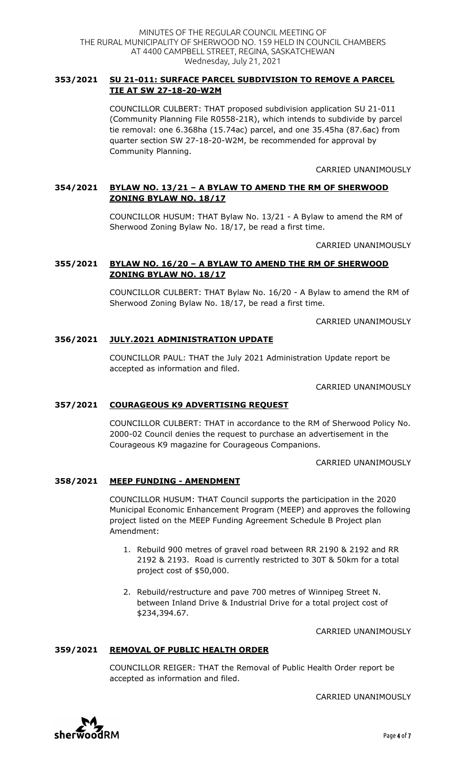## **353/2021 SU 21-011: SURFACE PARCEL SUBDIVISION TO REMOVE A PARCEL TIE AT SW 27-18-20-W2M**

COUNCILLOR CULBERT: THAT proposed subdivision application SU 21-011 (Community Planning File R0558-21R), which intends to subdivide by parcel tie removal: one 6.368ha (15.74ac) parcel, and one 35.45ha (87.6ac) from quarter section SW 27-18-20-W2M, be recommended for approval by Community Planning.

## CARRIED UNANIMOUSLY

## **354/2021 BYLAW NO. 13/21 – A BYLAW TO AMEND THE RM OF SHERWOOD ZONING BYLAW NO. 18/17**

COUNCILLOR HUSUM: THAT Bylaw No. 13/21 - A Bylaw to amend the RM of Sherwood Zoning Bylaw No. 18/17, be read a first time.

CARRIED UNANIMOUSLY

## **355/2021 BYLAW NO. 16/20 – A BYLAW TO AMEND THE RM OF SHERWOOD ZONING BYLAW NO. 18/17**

COUNCILLOR CULBERT: THAT Bylaw No. 16/20 - A Bylaw to amend the RM of Sherwood Zoning Bylaw No. 18/17, be read a first time.

CARRIED UNANIMOUSLY

## **356/2021 JULY.2021 ADMINISTRATION UPDATE**

COUNCILLOR PAUL: THAT the July 2021 Administration Update report be accepted as information and filed.

CARRIED UNANIMOUSLY

## **357/2021 COURAGEOUS K9 ADVERTISING REQUEST**

COUNCILLOR CULBERT: THAT in accordance to the RM of Sherwood Policy No. 2000-02 Council denies the request to purchase an advertisement in the Courageous K9 magazine for Courageous Companions.

CARRIED UNANIMOUSLY

## **358/2021 MEEP FUNDING - AMENDMENT**

COUNCILLOR HUSUM: THAT Council supports the participation in the 2020 Municipal Economic Enhancement Program (MEEP) and approves the following project listed on the MEEP Funding Agreement Schedule B Project plan Amendment:

- 1. Rebuild 900 metres of gravel road between RR 2190 & 2192 and RR 2192 & 2193. Road is currently restricted to 30T & 50km for a total project cost of \$50,000.
- 2. Rebuild/restructure and pave 700 metres of Winnipeg Street N. between Inland Drive & Industrial Drive for a total project cost of \$234,394.67.

CARRIED UNANIMOUSLY

## **359/2021 REMOVAL OF PUBLIC HEALTH ORDER**

COUNCILLOR REIGER: THAT the Removal of Public Health Order report be accepted as information and filed.

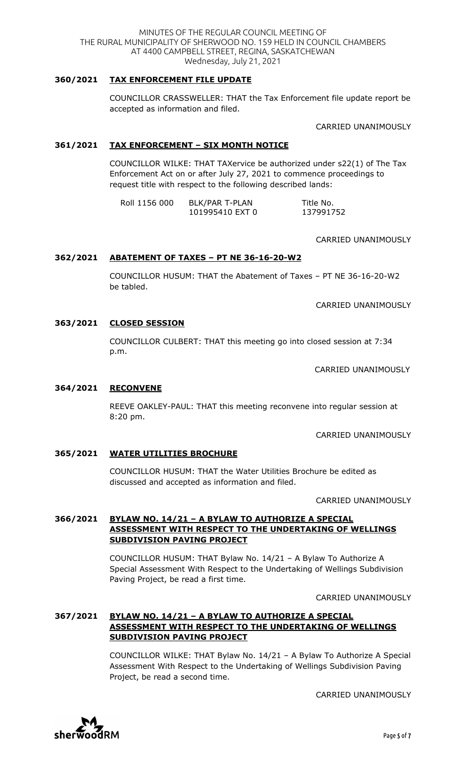### **360/2021 TAX ENFORCEMENT FILE UPDATE**

COUNCILLOR CRASSWELLER: THAT the Tax Enforcement file update report be accepted as information and filed.

CARRIED UNANIMOUSLY

### **361/2021 TAX ENFORCEMENT – SIX MONTH NOTICE**

COUNCILLOR WILKE: THAT TAXervice be authorized under s22(1) of The Tax Enforcement Act on or after July 27, 2021 to commence proceedings to request title with respect to the following described lands:

| Roll 1156 000 | <b>BLK/PAR T-PLAN</b> | Title No. |
|---------------|-----------------------|-----------|
|               | 101995410 EXT 0       | 137991752 |

#### CARRIED UNANIMOUSLY

#### **362/2021 ABATEMENT OF TAXES – PT NE 36-16-20-W2**

COUNCILLOR HUSUM: THAT the Abatement of Taxes – PT NE 36-16-20-W2 be tabled.

CARRIED UNANIMOUSLY

#### **363/2021 CLOSED SESSION**

COUNCILLOR CULBERT: THAT this meeting go into closed session at 7:34 p.m.

CARRIED UNANIMOUSLY

#### **364/2021 RECONVENE**

REEVE OAKLEY-PAUL: THAT this meeting reconvene into regular session at 8:20 pm.

CARRIED UNANIMOUSLY

#### **365/2021 WATER UTILITIES BROCHURE**

COUNCILLOR HUSUM: THAT the Water Utilities Brochure be edited as discussed and accepted as information and filed.

CARRIED UNANIMOUSLY

### **366/2021 BYLAW NO. 14/21 – A BYLAW TO AUTHORIZE A SPECIAL ASSESSMENT WITH RESPECT TO THE UNDERTAKING OF WELLINGS SUBDIVISION PAVING PROJECT**

COUNCILLOR HUSUM: THAT Bylaw No. 14/21 – A Bylaw To Authorize A Special Assessment With Respect to the Undertaking of Wellings Subdivision Paving Project, be read a first time.

CARRIED UNANIMOUSLY

## **367/2021 BYLAW NO. 14/21 – A BYLAW TO AUTHORIZE A SPECIAL ASSESSMENT WITH RESPECT TO THE UNDERTAKING OF WELLINGS SUBDIVISION PAVING PROJECT**

COUNCILLOR WILKE: THAT Bylaw No. 14/21 – A Bylaw To Authorize A Special Assessment With Respect to the Undertaking of Wellings Subdivision Paving Project, be read a second time.

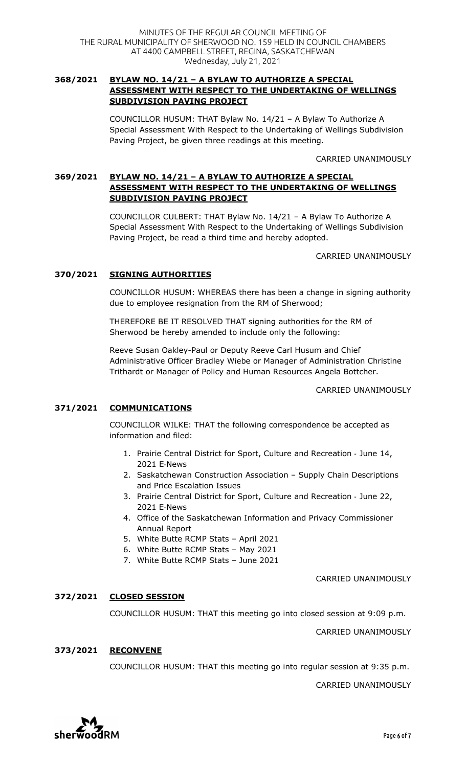## **368/2021 BYLAW NO. 14/21 – A BYLAW TO AUTHORIZE A SPECIAL ASSESSMENT WITH RESPECT TO THE UNDERTAKING OF WELLINGS SUBDIVISION PAVING PROJECT**

COUNCILLOR HUSUM: THAT Bylaw No. 14/21 – A Bylaw To Authorize A Special Assessment With Respect to the Undertaking of Wellings Subdivision Paving Project, be given three readings at this meeting.

CARRIED UNANIMOUSLY

## **369/2021 BYLAW NO. 14/21 – A BYLAW TO AUTHORIZE A SPECIAL ASSESSMENT WITH RESPECT TO THE UNDERTAKING OF WELLINGS SUBDIVISION PAVING PROJECT**

COUNCILLOR CULBERT: THAT Bylaw No. 14/21 – A Bylaw To Authorize A Special Assessment With Respect to the Undertaking of Wellings Subdivision Paving Project, be read a third time and hereby adopted.

CARRIED UNANIMOUSLY

## **370/2021 SIGNING AUTHORITIES**

COUNCILLOR HUSUM: WHEREAS there has been a change in signing authority due to employee resignation from the RM of Sherwood;

THEREFORE BE IT RESOLVED THAT signing authorities for the RM of Sherwood be hereby amended to include only the following:

Reeve Susan Oakley-Paul or Deputy Reeve Carl Husum and Chief Administrative Officer Bradley Wiebe or Manager of Administration Christine Trithardt or Manager of Policy and Human Resources Angela Bottcher.

CARRIED UNANIMOUSLY

## **371/2021 COMMUNICATIONS**

COUNCILLOR WILKE: THAT the following correspondence be accepted as information and filed:

- 1. Prairie Central District for Sport, Culture and Recreation June 14, 2021 E-News
- 2. Saskatchewan Construction Association Supply Chain Descriptions and Price Escalation Issues
- 3. Prairie Central District for Sport, Culture and Recreation June 22, 2021 E-News
- 4. Office of the Saskatchewan Information and Privacy Commissioner Annual Report
- 5. White Butte RCMP Stats April 2021
- 6. White Butte RCMP Stats May 2021
- 7. White Butte RCMP Stats June 2021

CARRIED UNANIMOUSLY

## **372/2021 CLOSED SESSION**

COUNCILLOR HUSUM: THAT this meeting go into closed session at 9:09 p.m.

CARRIED UNANIMOUSLY

## **373/2021 RECONVENE**

COUNCILLOR HUSUM: THAT this meeting go into regular session at 9:35 p.m.